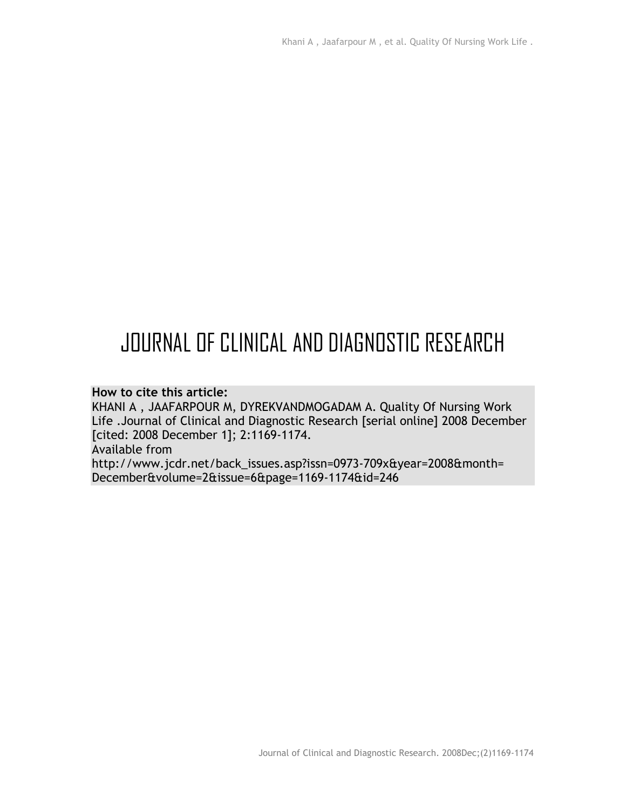# JOURNAL OF CLINICAL AND DIAGNOSTIC RESEARCH

#### **How to cite this article:**

KHANI A , JAAFARPOUR M, DYREKVANDMOGADAM A. Quality Of Nursing Work Life .Journal of Clinical and Diagnostic Research [serial online] 2008 December [cited: 2008 December 1]; 2:1169-1174. Available from http://www.jcdr.net/back\_issues.asp?issn=0973-709x&year=2008&month= December&volume=2&issue=6&page=1169-1174&id=246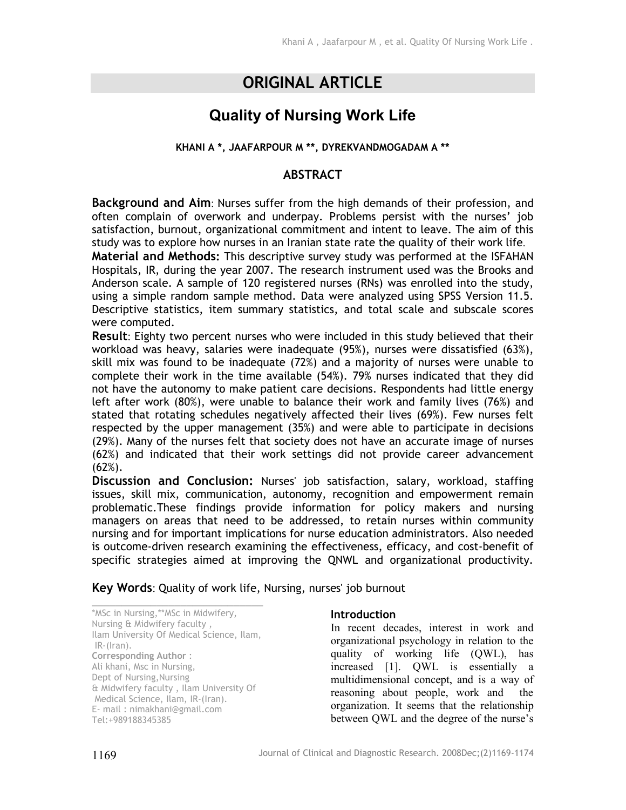# **ORIGINAL ARTICLE**

## **Quality of Nursing Work Life**

#### **KHANI A \*, JAAFARPOUR M \*\*, DYREKVANDMOGADAM A \*\***

### **ABSTRACT**

**Background and Aim**: Nurses suffer from the high demands of their profession, and often complain of overwork and underpay. Problems persist with the nurses' job satisfaction, burnout, organizational commitment and intent to leave. The aim of this study was to explore how nurses in an Iranian state rate the quality of their work life.

**Material and Methods:** This descriptive survey study was performed at the ISFAHAN Hospitals, IR, during the year 2007. The research instrument used was the Brooks and Anderson scale. A sample of 120 registered nurses (RNs) was enrolled into the study, using a simple random sample method. Data were analyzed using SPSS Version 11.5. Descriptive statistics, item summary statistics, and total scale and subscale scores were computed.

**Result**: Eighty two percent nurses who were included in this study believed that their workload was heavy, salaries were inadequate (95%), nurses were dissatisfied (63%), skill mix was found to be inadequate (72%) and a majority of nurses were unable to complete their work in the time available (54%). 79% nurses indicated that they did not have the autonomy to make patient care decisions. Respondents had little energy left after work (80%), were unable to balance their work and family lives (76%) and stated that rotating schedules negatively affected their lives (69%). Few nurses felt respected by the upper management (35%) and were able to participate in decisions (29%). Many of the nurses felt that society does not have an accurate image of nurses (62%) and indicated that their work settings did not provide career advancement (62%).

**Discussion and Conclusion:** Nurses' job satisfaction, salary, workload, staffing issues, skill mix, communication, autonomy, recognition and empowerment remain problematic.These findings provide information for policy makers and nursing managers on areas that need to be addressed, to retain nurses within community nursing and for important implications for nurse education administrators. Also needed is outcome-driven research examining the effectiveness, efficacy, and cost-benefit of specific strategies aimed at improving the QNWL and organizational productivity.

**Key Words**: Quality of work life, Nursing, nurses' job burnout

\_\_\_\_\_\_\_\_\_\_\_\_\_\_\_\_\_\_\_\_\_\_\_\_\_\_\_\_\_ \*MSc in Nursing,\*\*MSc in Midwifery, Nursing & Midwifery faculty , Ilam University Of Medical Science, Ilam, IR-(Iran). **Corresponding Author** : Ali khani, Msc in Nursing, Dept of Nursing,Nursing & Midwifery faculty , Ilam University Of Medical Science, Ilam, IR-(Iran). E- mail : nimakhani@gmail.com Tel:+989188345385

#### **Introduction**

In recent decades, interest in work and organizational psychology in relation to the quality of working life (QWL), has increased [1]. QWL is essentially a multidimensional concept, and is a way of reasoning about people, work and the organization. It seems that the relationship between QWL and the degree of the nurse's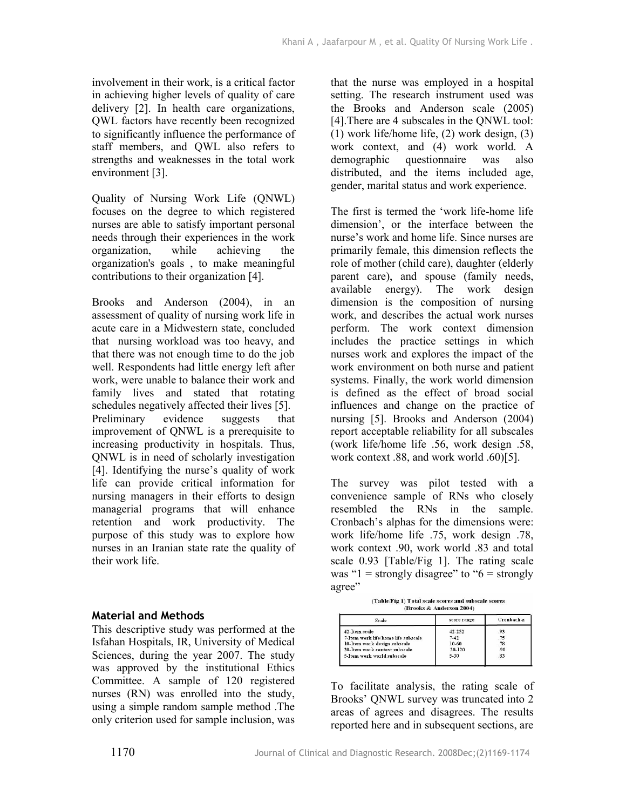involvement in their work, is a critical factor in achieving higher levels of quality of care delivery [2]. In health care organizations, QWL factors have recently been recognized to significantly influence the performance of staff members, and QWL also refers to strengths and weaknesses in the total work environment [3].

Quality of Nursing Work Life (QNWL) focuses on the degree to which registered nurses are able to satisfy important personal needs through their experiences in the work organization, while achieving the organization's goals , to make meaningful contributions to their organization [4].

Brooks and Anderson (2004), in an assessment of quality of nursing work life in acute care in a Midwestern state, concluded that nursing workload was too heavy, and that there was not enough time to do the job well. Respondents had little energy left after work, were unable to balance their work and family lives and stated that rotating schedules negatively affected their lives [5]. Preliminary evidence suggests that improvement of QNWL is a prerequisite to increasing productivity in hospitals. Thus, QNWL is in need of scholarly investigation [4]. Identifying the nurse's quality of work life can provide critical information for nursing managers in their efforts to design managerial programs that will enhance retention and work productivity. The purpose of this study was to explore how nurses in an Iranian state rate the quality of their work life.

#### **Material and Methods**

This descriptive study was performed at the Isfahan Hospitals, IR, University of Medical Sciences, during the year 2007. The study was approved by the institutional Ethics Committee. A sample of 120 registered nurses (RN) was enrolled into the study, using a simple random sample method .The only criterion used for sample inclusion, was

that the nurse was employed in a hospital setting. The research instrument used was the Brooks and Anderson scale (2005) [4].There are 4 subscales in the QNWL tool: (1) work life/home life, (2) work design, (3) work context, and (4) work world. A demographic questionnaire was also distributed, and the items included age, gender, marital status and work experience.

The first is termed the 'work life-home life dimension', or the interface between the nurse's work and home life. Since nurses are primarily female, this dimension reflects the role of mother (child care), daughter (elderly parent care), and spouse (family needs, available energy). The work design dimension is the composition of nursing work, and describes the actual work nurses perform. The work context dimension includes the practice settings in which nurses work and explores the impact of the work environment on both nurse and patient systems. Finally, the work world dimension is defined as the effect of broad social influences and change on the practice of nursing [5]. Brooks and Anderson (2004) report acceptable reliability for all subscales (work life/home life .56, work design .58, work context .88, and work world .60)[5].

The survey was pilot tested with a convenience sample of RNs who closely resembled the RNs in the sample. Cronbach's alphas for the dimensions were: work life/home life .75, work design .78, work context .90, work world .83 and total scale 0.93 [Table/Fig 1]. The rating scale was " $1 =$  strongly disagree" to " $6 =$  strongly agree"

|  | (Table/Fig 1) Total scale scores and subscale scores |
|--|------------------------------------------------------|
|  |                                                      |

| Scale                               | score range | Cronbach a |  |
|-------------------------------------|-------------|------------|--|
| 42-Item scale                       | $42 - 252$  | .93        |  |
| 7-Item work life/home life subscale | $7 - 42$    | .75        |  |
| 10-Item work design subscale        | 10-60       | .78        |  |
| 20-Item work context subscale       | 20-120      | .90        |  |
| 5-Item work world subscale          | $5 - 30$    | .83        |  |

To facilitate analysis, the rating scale of Brooks' QNWL survey was truncated into 2 areas of agrees and disagrees. The results reported here and in subsequent sections, are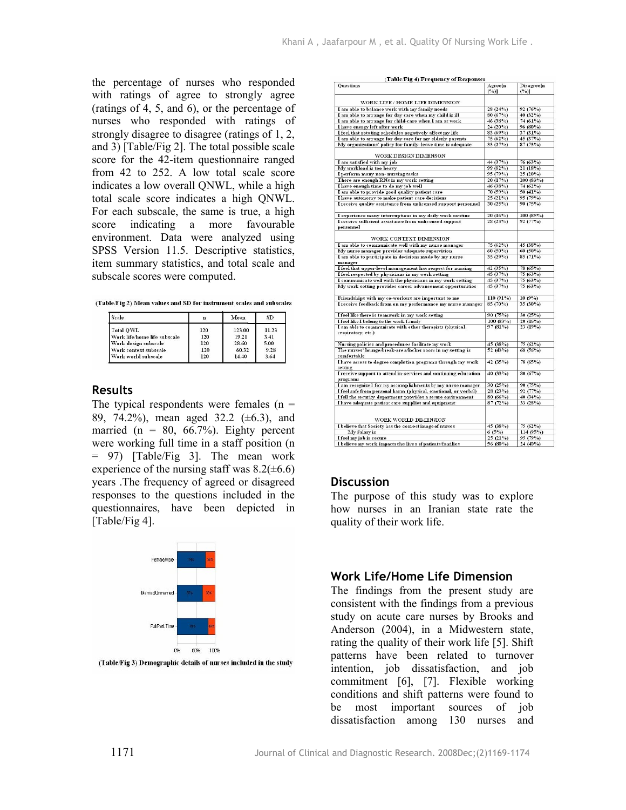the percentage of nurses who responded with ratings of agree to strongly agree (ratings of 4, 5, and 6), or the percentage of nurses who responded with ratings of strongly disagree to disagree (ratings of 1, 2, and 3) [Table/Fig 2]. The total possible scale score for the 42-item questionnaire ranged from 42 to 252. A low total scale score indicates a low overall QNWL, while a high total scale score indicates a high QNWL. For each subscale, the same is true, a high score indicating a more favourable environment. Data were analyzed using SPSS Version 11.5. Descriptive statistics, item summary statistics, and total scale and subscale scores were computed.

| (Table/Fig 2) Mean values and SD for instrument scales and subscales |  |  |
|----------------------------------------------------------------------|--|--|
|                                                                      |  |  |

| Scale                        | n   | Mean   | SD.   |
|------------------------------|-----|--------|-------|
| Total OWL                    | 120 | 123.00 | 11.23 |
| Work life/home life subscale | 120 | 19.21  | 3.41  |
| Work design subscale         | 120 | 28.60  | 5.00  |
| Work context subscale        | 120 | 60.32  | 9.28  |
| Work world subscale          | 120 | 14.40  | 3.64  |

#### **Results**

The typical respondents were females  $(n =$ 89, 74.2%), mean aged 32.2 (±6.3), and married ( $n = 80, 66.7\%$ ). Eighty percent were working full time in a staff position (n = 97) [Table/Fig 3]. The mean work experience of the nursing staff was  $8.2(\pm 6.6)$ years .The frequency of agreed or disagreed responses to the questions included in the questionnaires, have been depicted in [Table/Fig 4].



(Table/Fig 3) Demographic details of nurses included in the study

| (Table/F1g 4) Frequency of Responses                                              |                           |                             |
|-----------------------------------------------------------------------------------|---------------------------|-----------------------------|
| <b>Questions</b>                                                                  | Agree[n<br>$(^{0}/_{0})]$ | Disagree[n<br>$(^{0}_{0})]$ |
| WORK LIFE / HOME LIFE DIMENSION                                                   |                           |                             |
| I am able to balance work with my family needs                                    | 28(24%)                   | 92(76%)                     |
| I am able to arrange for day care when my child is ill                            | 80(67%)                   | 40 (32%)                    |
| I am able to arrange for child-care when I am at work                             | 46 (38%)                  | 74 (61%)                    |
| I have energy left after work                                                     | 24(20%)                   | 96 (80%)                    |
| I feel that rotating schedules negatively affect my life                          | 83(69%)                   | 37(31%)                     |
| I am able to arrange for day care for my elderly parents                          | 75(62%)                   | 45(37%)                     |
| My organizations' policy for family-leave time is adequate                        | 33(27%)                   | 87(73%)                     |
| <b>WORK DESIGN DIMENSON</b>                                                       |                           |                             |
| I am satisfied with my job                                                        | 44 (37%)                  | 76(63%)                     |
| My workload is too heavy                                                          | 99 (82%)                  | 21(18%)                     |
| I perform many non-nursing tasks                                                  | 95(79%)                   | 25(20%)                     |
| There are enough RNs in my work setting                                           | 20(17%)                   | 100(83%)                    |
| I have enough time to do my job well                                              | 46(38%)                   | 74 (62%)                    |
| I am able to provide good quality patient care                                    | 70(59%)                   | 50 $(41\%)$                 |
| I have autonomy to make patient care decisions                                    | 25(21%)                   | 95(79%)                     |
| I receive quality assistance from unlicensed support personnel                    | 30(25%)                   | 90(75%)                     |
| I experience many interruptions in my daily work routine                          | 20(16%)                   | 100(85%)                    |
| I receive sufficient assistance from unlicensed support                           | 28(23%)                   | 92(77%)                     |
| personnel                                                                         |                           |                             |
| WORK CONTEXT DIMENSION                                                            |                           |                             |
| I am able to communicate well with my nurse manager                               | 75(62%)                   | 45(38%)                     |
| My nurse manager provides adequate supervision                                    | 60 (50%)                  | $60(50\%)$                  |
| I am able to participate in decisions made by my nurse<br>manager                 | 35(29%)                   | 85(71%)                     |
| I feel that upper-level management has respect for nursing                        | 42 $(35\%)$               | 78 (65%)                    |
| I feel respected by physicians in my work setting                                 | 45(37%)                   | 75(63%)                     |
| I communicate well with the physicians in my work setting                         | 45(37%)                   | 75(63%)                     |
| My work setting provides career advancement opportunities                         | 45(37%)                   | 75(63%)                     |
| Friendships with my co-workers are important to me                                | 110(91%)                  | 10(9%)                      |
| I receive feedback from on my performance my nurse manager                        | 85(70%)                   | $35(30\%)$                  |
| I feel like there is teamwork in my work setting                                  | 90(75%)                   | 30(25%)                     |
| I feel like I belong to the work family                                           | 100 (83%)                 | 20(16%)                     |
| I am able to communicate with other therapists (physical,<br>respiratory, etc.)   | 97(81%)                   | 23(19%)                     |
| Nursing policies and procedures facilitate my work                                | 45 (38%)                  | 75(62%)                     |
| The nurses' lounge/break-area/locker room in my setting is<br>comfortable         | 52 $(43%)$                | 68 (56%)                    |
| I have access to degree completion programs through my work<br>setting            | 42 $(35\%)$               | 78 (65%)                    |
| I receive support to attend in-services and continuing education<br>programs      | 40 (33%)                  | 80(67%)                     |
| I am recognized for my accomplishments by my nurse manager                        | 30(25%)                   | 90(75%)                     |
| I feel safe from personal harm (physical, enotional, or verbal)                   | 28(23%)                   | 92(77%)                     |
| I fell the security department provides a secure environment                      | 80(66%)                   | 40 (34%)                    |
| I have adequate patient care supplies and equipment                               | 87(72%)                   | 33 $(28o/o)$                |
| WORK WORLD DIMENSION                                                              |                           |                             |
|                                                                                   | 45 (38%)                  | 75 (62%)                    |
|                                                                                   |                           |                             |
| My Salary is                                                                      | 6(5%)                     | 114(95%)                    |
| I believe that Society has the correct image of nurses<br>I feel my job is secure | 25(21%)                   | 95(79%)                     |

#### **Discussion**

The purpose of this study was to explore how nurses in an Iranian state rate the quality of their work life.

#### **Work Life/Home Life Dimension**

The findings from the present study are consistent with the findings from a previous study on acute care nurses by Brooks and Anderson (2004), in a Midwestern state, rating the quality of their work life [5]. Shift patterns have been related to turnover intention, job dissatisfaction, and job commitment [6], [7]. Flexible working conditions and shift patterns were found to be most important sources of job dissatisfaction among 130 nurses and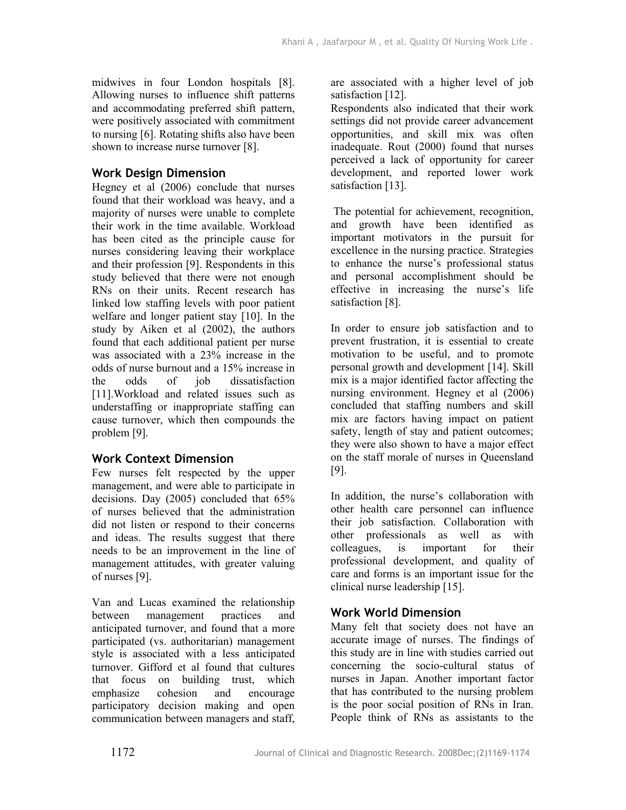midwives in four London hospitals [8]. Allowing nurses to influence shift patterns and accommodating preferred shift pattern, were positively associated with commitment to nursing [6]. Rotating shifts also have been shown to increase nurse turnover [8].

## **Work Design Dimension**

Hegney et al (2006) conclude that nurses found that their workload was heavy, and a majority of nurses were unable to complete their work in the time available. Workload has been cited as the principle cause for nurses considering leaving their workplace and their profession [9]. Respondents in this study believed that there were not enough RNs on their units. Recent research has linked low staffing levels with poor patient welfare and longer patient stay [10]. In the study by Aiken et al (2002), the authors found that each additional patient per nurse was associated with a 23% increase in the odds of nurse burnout and a 15% increase in the odds of iob dissatisfaction [11].Workload and related issues such as understaffing or inappropriate staffing can cause turnover, which then compounds the problem [9].

## **Work Context Dimension**

Few nurses felt respected by the upper management, and were able to participate in decisions. Day (2005) concluded that 65% of nurses believed that the administration did not listen or respond to their concerns and ideas. The results suggest that there needs to be an improvement in the line of management attitudes, with greater valuing of nurses [9].

Van and Lucas examined the relationship between management practices and anticipated turnover, and found that a more participated (vs. authoritarian) management style is associated with a less anticipated turnover. Gifford et al found that cultures that focus on building trust, which emphasize cohesion and encourage participatory decision making and open communication between managers and staff,

are associated with a higher level of job satisfaction [12].

Respondents also indicated that their work settings did not provide career advancement opportunities, and skill mix was often inadequate. Rout (2000) found that nurses perceived a lack of opportunity for career development, and reported lower work satisfaction [13].

 The potential for achievement, recognition, and growth have been identified as important motivators in the pursuit for excellence in the nursing practice. Strategies to enhance the nurse's professional status and personal accomplishment should be effective in increasing the nurse's life satisfaction [8].

In order to ensure job satisfaction and to prevent frustration, it is essential to create motivation to be useful, and to promote personal growth and development [14]. Skill mix is a major identified factor affecting the nursing environment. Hegney et al (2006) concluded that staffing numbers and skill mix are factors having impact on patient safety, length of stay and patient outcomes; they were also shown to have a major effect on the staff morale of nurses in Queensland [9].

In addition, the nurse's collaboration with other health care personnel can influence their job satisfaction. Collaboration with other professionals as well as with colleagues, is important for their professional development, and quality of care and forms is an important issue for the clinical nurse leadership [15].

## **Work World Dimension**

Many felt that society does not have an accurate image of nurses. The findings of this study are in line with studies carried out concerning the socio-cultural status of nurses in Japan. Another important factor that has contributed to the nursing problem is the poor social position of RNs in Iran. People think of RNs as assistants to the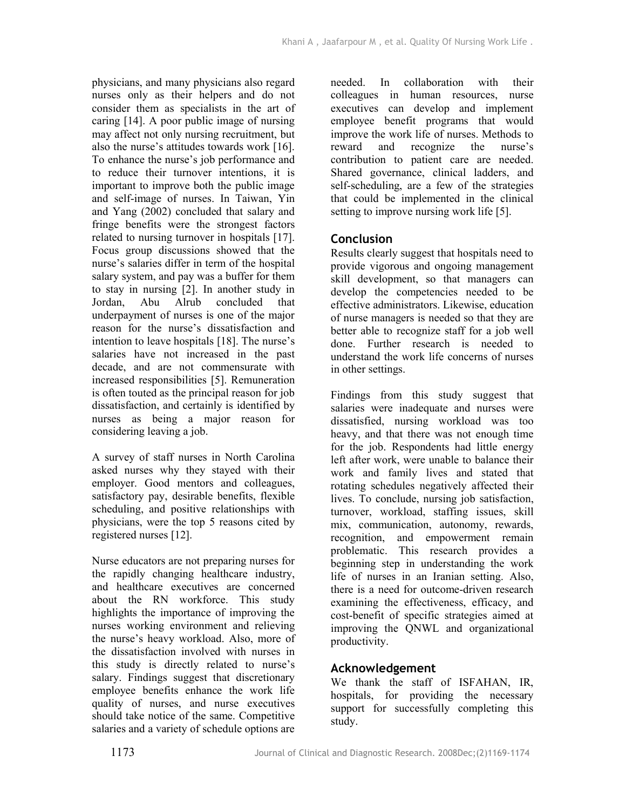physicians, and many physicians also regard nurses only as their helpers and do not consider them as specialists in the art of caring [14]. A poor public image of nursing may affect not only nursing recruitment, but also the nurse's attitudes towards work [16]. To enhance the nurse's job performance and to reduce their turnover intentions, it is important to improve both the public image and self-image of nurses. In Taiwan, Yin and Yang (2002) concluded that salary and fringe benefits were the strongest factors related to nursing turnover in hospitals [17]. Focus group discussions showed that the nurse's salaries differ in term of the hospital salary system, and pay was a buffer for them to stay in nursing [2]. In another study in Jordan, Abu Alrub concluded that underpayment of nurses is one of the major reason for the nurse's dissatisfaction and intention to leave hospitals [18]. The nurse's salaries have not increased in the past decade, and are not commensurate with increased responsibilities [5]. Remuneration is often touted as the principal reason for job dissatisfaction, and certainly is identified by nurses as being a major reason for considering leaving a job.

A survey of staff nurses in North Carolina asked nurses why they stayed with their employer. Good mentors and colleagues, satisfactory pay, desirable benefits, flexible scheduling, and positive relationships with physicians, were the top 5 reasons cited by registered nurses [12].

Nurse educators are not preparing nurses for the rapidly changing healthcare industry, and healthcare executives are concerned about the RN workforce. This study highlights the importance of improving the nurses working environment and relieving the nurse's heavy workload. Also, more of the dissatisfaction involved with nurses in this study is directly related to nurse's salary. Findings suggest that discretionary employee benefits enhance the work life quality of nurses, and nurse executives should take notice of the same. Competitive salaries and a variety of schedule options are

needed. In collaboration with their colleagues in human resources, nurse executives can develop and implement employee benefit programs that would improve the work life of nurses. Methods to reward and recognize the nurse's contribution to patient care are needed. Shared governance, clinical ladders, and self-scheduling, are a few of the strategies that could be implemented in the clinical setting to improve nursing work life [5].

## **Conclusion**

Results clearly suggest that hospitals need to provide vigorous and ongoing management skill development, so that managers can develop the competencies needed to be effective administrators. Likewise, education of nurse managers is needed so that they are better able to recognize staff for a job well done. Further research is needed to understand the work life concerns of nurses in other settings.

Findings from this study suggest that salaries were inadequate and nurses were dissatisfied, nursing workload was too heavy, and that there was not enough time for the job. Respondents had little energy left after work, were unable to balance their work and family lives and stated that rotating schedules negatively affected their lives. To conclude, nursing job satisfaction, turnover, workload, staffing issues, skill mix, communication, autonomy, rewards, recognition, and empowerment remain problematic. This research provides a beginning step in understanding the work life of nurses in an Iranian setting. Also, there is a need for outcome-driven research examining the effectiveness, efficacy, and cost-benefit of specific strategies aimed at improving the QNWL and organizational productivity.

## **Acknowledgement**

We thank the staff of ISFAHAN, IR, hospitals, for providing the necessary support for successfully completing this study.